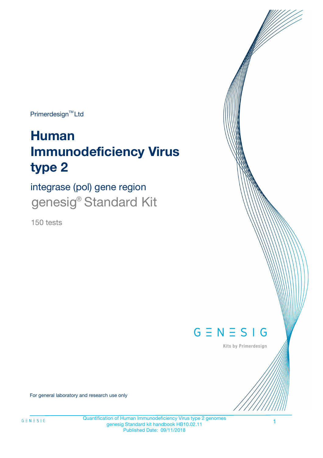Primerdesign<sup>™</sup>Ltd

# **Human Immunodeficiency Virus type 2**

integrase (pol) gene region genesig<sup>®</sup> Standard Kit

150 tests



Kits by Primerdesign

For general laboratory and research use only

Quantification of Human Immunodeficiency Virus type 2 genomes genesig Standard kit handbook HB10.02.11 Published Date: 09/11/2018

1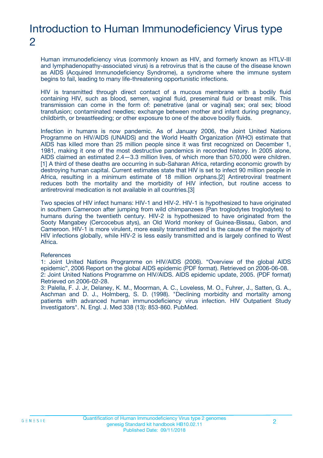# Introduction to Human Immunodeficiency Virus type 2

Human immunodeficiency virus (commonly known as HIV, and formerly known as HTLV-III and lymphadenopathy-associated virus) is a retrovirus that is the cause of the disease known as AIDS (Acquired Immunodeficiency Syndrome), a syndrome where the immune system begins to fail, leading to many life-threatening opportunistic infections.

HIV is transmitted through direct contact of a mucous membrane with a bodily fluid containing HIV, such as blood, semen, vaginal fluid, preseminal fluid or breast milk. This transmission can come in the form of: penetrative (anal or vaginal) sex; oral sex; blood transfusion; contaminated needles; exchange between mother and infant during pregnancy, childbirth, or breastfeeding; or other exposure to one of the above bodily fluids.

Infection in humans is now pandemic. As of January 2006, the Joint United Nations Programme on HIV/AIDS (UNAIDS) and the World Health Organization (WHO) estimate that AIDS has killed more than 25 million people since it was first recognized on December 1, 1981, making it one of the most destructive pandemics in recorded history. In 2005 alone, AIDS claimed an estimated 2.4—3.3 million lives, of which more than 570,000 were children. [1] A third of these deaths are occurring in sub-Saharan Africa, retarding economic growth by destroying human capital. Current estimates state that HIV is set to infect 90 million people in Africa, resulting in a minimum estimate of 18 million orphans.[2] Antiretroviral treatment reduces both the mortality and the morbidity of HIV infection, but routine access to antiretroviral medication is not available in all countries.[3]

Two species of HIV infect humans: HIV-1 and HIV-2. HIV-1 is hypothesized to have originated in southern Cameroon after jumping from wild chimpanzees (Pan troglodytes troglodytes) to humans during the twentieth century. HIV-2 is hypothesized to have originated from the Sooty Mangabey (Cercocebus atys), an Old World monkey of Guinea-Bissau, Gabon, and Cameroon. HIV-1 is more virulent, more easily transmitted and is the cause of the majority of HIV infections globally, while HIV-2 is less easily transmitted and is largely confined to West Africa.

#### **References**

1: Joint United Nations Programme on HIV/AIDS (2006). "Overview of the global AIDS epidemic", 2006 Report on the global AIDS epidemic (PDF format). Retrieved on 2006-06-08. 2: Joint United Nations Programme on HIV/AIDS. AIDS epidemic update, 2005. (PDF format) Retrieved on 2006-02-28.

3: Palella, F. J. Jr, Delaney, K. M., Moorman, A. C., Loveless, M. O., Fuhrer, J., Satten, G. A., Aschman and D. J., Holmberg, S. D. (1998). "Declining morbidity and mortality among patients with advanced human immunodeficiency virus infection. HIV Outpatient Study Investigators". N. Engl. J. Med 338 (13): 853-860. PubMed.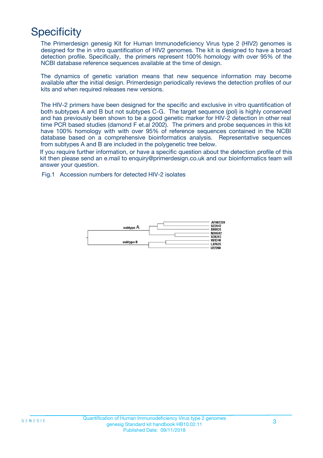# **Specificity**

The Primerdesign genesig Kit for Human Immunodeficiency Virus type 2 (HIV2) genomes is designed for the in vitro quantification of HIV2 genomes. The kit is designed to have a broad detection profile. Specifically, the primers represent 100% homology with over 95% of the NCBI database reference sequences available at the time of design.

The dynamics of genetic variation means that new sequence information may become available after the initial design. Primerdesign periodically reviews the detection profiles of our kits and when required releases new versions.

The HIV-2 primers have been designed for the specific and exclusive in vitro quantification of both subtypes A and B but not subtypes C-G. The target sequence (pol) is highly conserved and has previously been shown to be a good genetic marker for HIV-2 detection in other real time PCR based studies (damond F et.al 2002). The primers and probe sequences in this kit have 100% homology with with over 95% of reference sequences contained in the NCBI database based on a comprehensive bioinformatics analysis. Representative sequences from subtypes A and B are included in the polygenetic tree below.

If you require further information, or have a specific question about the detection profile of this kit then please send an e.mail to enquiry@primerdesign.co.uk and our bioinformatics team will answer your question.

Fig.1 Accession numbers for detected HIV-2 isolates

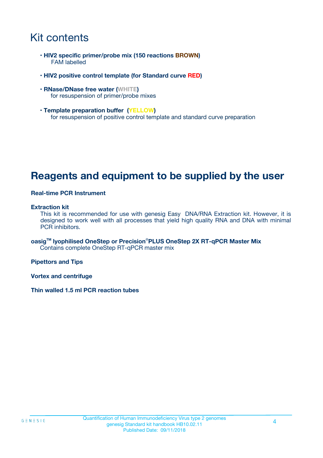# Kit contents

- **HIV2 specific primer/probe mix (150 reactions BROWN)** FAM labelled
- **HIV2 positive control template (for Standard curve RED)**
- **RNase/DNase free water (WHITE)** for resuspension of primer/probe mixes
- **Template preparation buffer (YELLOW)** for resuspension of positive control template and standard curve preparation

## **Reagents and equipment to be supplied by the user**

#### **Real-time PCR Instrument**

#### **Extraction kit**

This kit is recommended for use with genesig Easy DNA/RNA Extraction kit. However, it is designed to work well with all processes that yield high quality RNA and DNA with minimal PCR inhibitors.

**oasigTM lyophilised OneStep or Precision**®**PLUS OneStep 2X RT-qPCR Master Mix** Contains complete OneStep RT-qPCR master mix

**Pipettors and Tips**

**Vortex and centrifuge**

**Thin walled 1.5 ml PCR reaction tubes**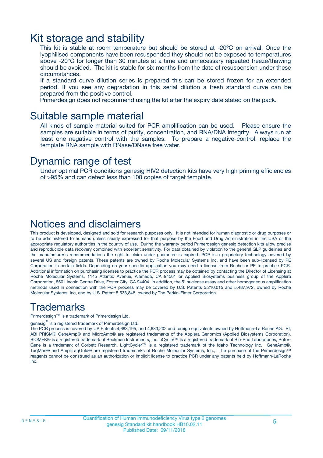### Kit storage and stability

This kit is stable at room temperature but should be stored at -20ºC on arrival. Once the lyophilised components have been resuspended they should not be exposed to temperatures above -20°C for longer than 30 minutes at a time and unnecessary repeated freeze/thawing should be avoided. The kit is stable for six months from the date of resuspension under these circumstances.

If a standard curve dilution series is prepared this can be stored frozen for an extended period. If you see any degradation in this serial dilution a fresh standard curve can be prepared from the positive control.

Primerdesign does not recommend using the kit after the expiry date stated on the pack.

### Suitable sample material

All kinds of sample material suited for PCR amplification can be used. Please ensure the samples are suitable in terms of purity, concentration, and RNA/DNA integrity. Always run at least one negative control with the samples. To prepare a negative-control, replace the template RNA sample with RNase/DNase free water.

### Dynamic range of test

Under optimal PCR conditions genesig HIV2 detection kits have very high priming efficiencies of >95% and can detect less than 100 copies of target template.

### Notices and disclaimers

This product is developed, designed and sold for research purposes only. It is not intended for human diagnostic or drug purposes or to be administered to humans unless clearly expressed for that purpose by the Food and Drug Administration in the USA or the appropriate regulatory authorities in the country of use. During the warranty period Primerdesign genesig detection kits allow precise and reproducible data recovery combined with excellent sensitivity. For data obtained by violation to the general GLP guidelines and the manufacturer's recommendations the right to claim under guarantee is expired. PCR is a proprietary technology covered by several US and foreign patents. These patents are owned by Roche Molecular Systems Inc. and have been sub-licensed by PE Corporation in certain fields. Depending on your specific application you may need a license from Roche or PE to practice PCR. Additional information on purchasing licenses to practice the PCR process may be obtained by contacting the Director of Licensing at Roche Molecular Systems, 1145 Atlantic Avenue, Alameda, CA 94501 or Applied Biosystems business group of the Applera Corporation, 850 Lincoln Centre Drive, Foster City, CA 94404. In addition, the 5' nuclease assay and other homogeneous amplification methods used in connection with the PCR process may be covered by U.S. Patents 5,210,015 and 5,487,972, owned by Roche Molecular Systems, Inc, and by U.S. Patent 5,538,848, owned by The Perkin-Elmer Corporation.

### Trademarks

Primerdesign™ is a trademark of Primerdesign Ltd.

genesig $^\circledR$  is a registered trademark of Primerdesign Ltd.

The PCR process is covered by US Patents 4,683,195, and 4,683,202 and foreign equivalents owned by Hoffmann-La Roche AG. BI, ABI PRISM® GeneAmp® and MicroAmp® are registered trademarks of the Applera Genomics (Applied Biosystems Corporation). BIOMEK® is a registered trademark of Beckman Instruments, Inc.; iCycler™ is a registered trademark of Bio-Rad Laboratories, Rotor-Gene is a trademark of Corbett Research. LightCycler™ is a registered trademark of the Idaho Technology Inc. GeneAmp®, TaqMan® and AmpliTaqGold® are registered trademarks of Roche Molecular Systems, Inc., The purchase of the Primerdesign™ reagents cannot be construed as an authorization or implicit license to practice PCR under any patents held by Hoffmann-LaRoche Inc.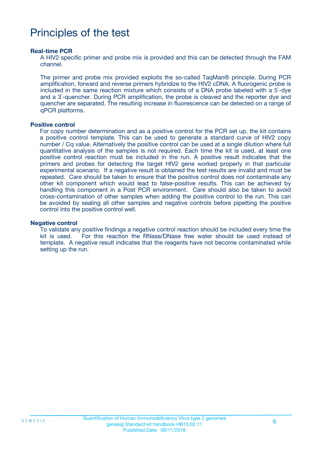# Principles of the test

#### **Real-time PCR**

A HIV2 specific primer and probe mix is provided and this can be detected through the FAM channel.

The primer and probe mix provided exploits the so-called TaqMan® principle. During PCR amplification, forward and reverse primers hybridize to the HIV2 cDNA. A fluorogenic probe is included in the same reaction mixture which consists of a DNA probe labeled with a 5`-dye and a 3`-quencher. During PCR amplification, the probe is cleaved and the reporter dye and quencher are separated. The resulting increase in fluorescence can be detected on a range of qPCR platforms.

#### **Positive control**

For copy number determination and as a positive control for the PCR set up, the kit contains a positive control template. This can be used to generate a standard curve of HIV2 copy number / Cq value. Alternatively the positive control can be used at a single dilution where full quantitative analysis of the samples is not required. Each time the kit is used, at least one positive control reaction must be included in the run. A positive result indicates that the primers and probes for detecting the target HIV2 gene worked properly in that particular experimental scenario. If a negative result is obtained the test results are invalid and must be repeated. Care should be taken to ensure that the positive control does not contaminate any other kit component which would lead to false-positive results. This can be achieved by handling this component in a Post PCR environment. Care should also be taken to avoid cross-contamination of other samples when adding the positive control to the run. This can be avoided by sealing all other samples and negative controls before pipetting the positive control into the positive control well.

#### **Negative control**

To validate any positive findings a negative control reaction should be included every time the kit is used. For this reaction the RNase/DNase free water should be used instead of template. A negative result indicates that the reagents have not become contaminated while setting up the run.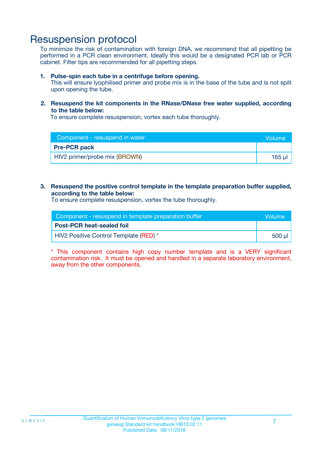### Resuspension protocol

To minimize the risk of contamination with foreign DNA, we recommend that all pipetting be performed in a PCR clean environment. Ideally this would be a designated PCR lab or PCR cabinet. Filter tips are recommended for all pipetting steps.

#### **1. Pulse-spin each tube in a centrifuge before opening.**

This will ensure lyophilised primer and probe mix is in the base of the tube and is not spilt upon opening the tube.

#### **2. Resuspend the kit components in the RNase/DNase free water supplied, according to the table below:**

To ensure complete resuspension, vortex each tube thoroughly.

| Component - resuspend in water | <b>Nolume</b> |
|--------------------------------|---------------|
| <b>Pre-PCR pack</b>            |               |
| HIV2 primer/probe mix (BROWN)  | $165$ $\mu$   |

#### **3. Resuspend the positive control template in the template preparation buffer supplied, according to the table below:**

To ensure complete resuspension, vortex the tube thoroughly.

| Component - resuspend in template preparation buffer |          |
|------------------------------------------------------|----------|
| <b>Post-PCR heat-sealed foil</b>                     |          |
| HIV2 Positive Control Template (RED) *               | ี 500 µl |

\* This component contains high copy number template and is a VERY significant contamination risk. It must be opened and handled in a separate laboratory environment, away from the other components.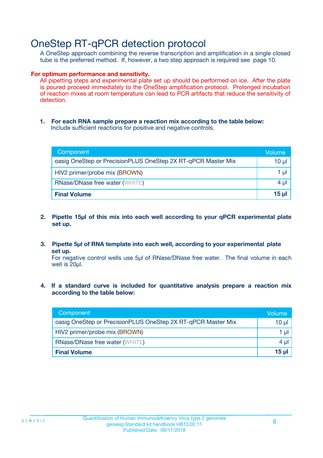## OneStep RT-qPCR detection protocol

A OneStep approach combining the reverse transcription and amplification in a single closed tube is the preferred method. If, however, a two step approach is required see page 10.

#### **For optimum performance and sensitivity.**

All pipetting steps and experimental plate set up should be performed on ice. After the plate is poured proceed immediately to the OneStep amplification protocol. Prolonged incubation of reaction mixes at room temperature can lead to PCR artifacts that reduce the sensitivity of detection.

**1. For each RNA sample prepare a reaction mix according to the table below:** Include sufficient reactions for positive and negative controls.

| Component                                                    | Volume   |
|--------------------------------------------------------------|----------|
| oasig OneStep or PrecisionPLUS OneStep 2X RT-qPCR Master Mix | $10 \mu$ |
| HIV2 primer/probe mix (BROWN)                                | 1 µI     |
| <b>RNase/DNase free water (WHITE)</b>                        | 4 µl     |
| <b>Final Volume</b>                                          | 15 µl    |

- **2. Pipette 15µl of this mix into each well according to your qPCR experimental plate set up.**
- **3. Pipette 5µl of RNA template into each well, according to your experimental plate set up.**

For negative control wells use 5µl of RNase/DNase free water. The final volume in each well is 20ul.

**4. If a standard curve is included for quantitative analysis prepare a reaction mix according to the table below:**

| Component                                                    | Volume   |
|--------------------------------------------------------------|----------|
| oasig OneStep or PrecisionPLUS OneStep 2X RT-qPCR Master Mix | 10 µl    |
| HIV2 primer/probe mix (BROWN)                                | 1 ul     |
| <b>RNase/DNase free water (WHITE)</b>                        | $4 \mu$  |
| <b>Final Volume</b>                                          | $15 \mu$ |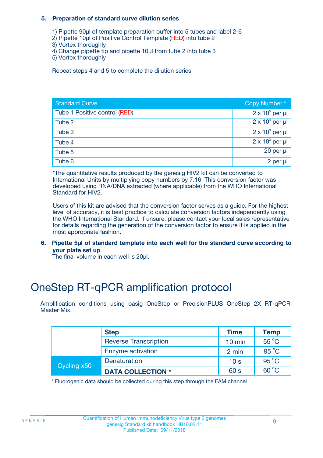#### **5. Preparation of standard curve dilution series**

- 1) Pipette 90µl of template preparation buffer into 5 tubes and label 2-6
- 2) Pipette 10µl of Positive Control Template (RED) into tube 2
- 3) Vortex thoroughly
- 4) Change pipette tip and pipette 10µl from tube 2 into tube 3
- 5) Vortex thoroughly

Repeat steps 4 and 5 to complete the dilution series

| <b>Standard Curve</b>         | Copy Number*           |
|-------------------------------|------------------------|
| Tube 1 Positive control (RED) | $2 \times 10^5$ per µl |
| Tube 2                        | $2 \times 10^4$ per µl |
| Tube 3                        | $2 \times 10^3$ per µl |
| Tube 4                        | $2 \times 10^2$ per µl |
| Tube 5                        | 20 per µl              |
| Tube 6                        | 2 per µl               |

\*The quantitative results produced by the genesig HIV2 kit can be converted to International Units by multiplying copy numbers by 7.16. This conversion factor was developed using RNA/DNA extracted (where applicable) from the WHO International Standard for HIV2.

Users of this kit are advised that the conversion factor serves as a guide. For the highest level of accuracy, it is best practice to calculate conversion factors independently using the WHO International Standard. If unsure, please contact your local sales representative for details regarding the generation of the conversion factor to ensure it is applied in the most appropriate fashion.

**6. Pipette 5µl of standard template into each well for the standard curve according to your plate set up**

The final volume in each well is 20ul.

# OneStep RT-qPCR amplification protocol

Amplification conditions using oasig OneStep or PrecisionPLUS OneStep 2X RT-qPCR Master Mix.

|             | <b>Step</b>                  | <b>Time</b>      | <b>Temp</b>    |
|-------------|------------------------------|------------------|----------------|
|             | <b>Reverse Transcription</b> | $10 \text{ min}$ | 55 °C          |
|             | Enzyme activation            | 2 min            | $95^{\circ}$ C |
| Cycling x50 | Denaturation                 | 10 <sub>s</sub>  | $95^{\circ}$ C |
|             | <b>DATA COLLECTION *</b>     | 60 s             | $60^{\circ}$ C |

\* Fluorogenic data should be collected during this step through the FAM channel